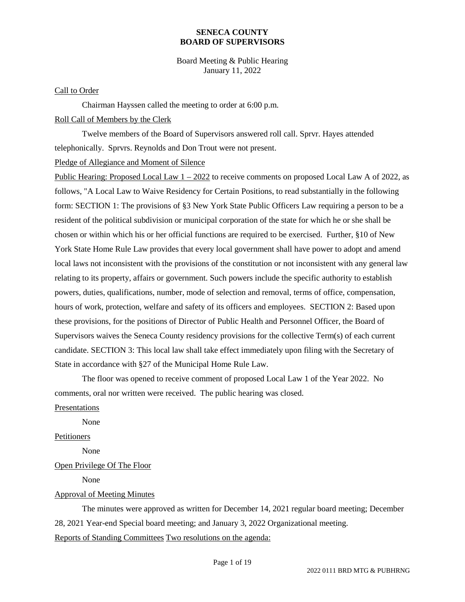Board Meeting & Public Hearing January 11, 2022

#### Call to Order

Chairman Hayssen called the meeting to order at 6:00 p.m. Roll Call of Members by the Clerk

Twelve members of the Board of Supervisors answered roll call. Sprvr. Hayes attended telephonically. Sprvrs. Reynolds and Don Trout were not present.

Pledge of Allegiance and Moment of Silence

Public Hearing: Proposed Local Law 1 – 2022 to receive comments on proposed Local Law A of 2022, as follows, "A Local Law to Waive Residency for Certain Positions, to read substantially in the following form: SECTION 1: The provisions of §3 New York State Public Officers Law requiring a person to be a resident of the political subdivision or municipal corporation of the state for which he or she shall be chosen or within which his or her official functions are required to be exercised. Further, §10 of New York State Home Rule Law provides that every local government shall have power to adopt and amend local laws not inconsistent with the provisions of the constitution or not inconsistent with any general law relating to its property, affairs or government. Such powers include the specific authority to establish powers, duties, qualifications, number, mode of selection and removal, terms of office, compensation, hours of work, protection, welfare and safety of its officers and employees. SECTION 2: Based upon these provisions, for the positions of Director of Public Health and Personnel Officer, the Board of Supervisors waives the Seneca County residency provisions for the collective Term(s) of each current candidate. SECTION 3: This local law shall take effect immediately upon filing with the Secretary of State in accordance with §27 of the Municipal Home Rule Law.

The floor was opened to receive comment of proposed Local Law 1 of the Year 2022. No comments, oral nor written were received. The public hearing was closed.

#### Presentations

None

Petitioners

None

#### Open Privilege Of The Floor

None

#### Approval of Meeting Minutes

The minutes were approved as written for December 14, 2021 regular board meeting; December 28, 2021 Year-end Special board meeting; and January 3, 2022 Organizational meeting. Reports of Standing Committees Two resolutions on the agenda: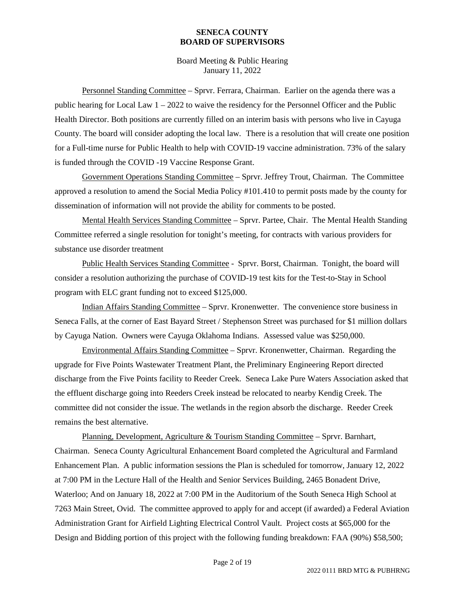Board Meeting & Public Hearing January 11, 2022

Personnel Standing Committee – Sprvr. Ferrara, Chairman. Earlier on the agenda there was a public hearing for Local Law 1 – 2022 to waive the residency for the Personnel Officer and the Public Health Director. Both positions are currently filled on an interim basis with persons who live in Cayuga County. The board will consider adopting the local law. There is a resolution that will create one position for a Full-time nurse for Public Health to help with COVID-19 vaccine administration. 73% of the salary is funded through the COVID -19 Vaccine Response Grant.

Government Operations Standing Committee – Sprvr. Jeffrey Trout, Chairman. The Committee approved a resolution to amend the Social Media Policy #101.410 to permit posts made by the county for dissemination of information will not provide the ability for comments to be posted.

Mental Health Services Standing Committee – Sprvr. Partee, Chair. The Mental Health Standing Committee referred a single resolution for tonight's meeting, for contracts with various providers for substance use disorder treatment

Public Health Services Standing Committee - Sprvr. Borst, Chairman. Tonight, the board will consider a resolution authorizing the purchase of COVID-19 test kits for the Test-to-Stay in School program with ELC grant funding not to exceed \$125,000.

Indian Affairs Standing Committee – Sprvr. Kronenwetter. The convenience store business in Seneca Falls, at the corner of East Bayard Street / Stephenson Street was purchased for \$1 million dollars by Cayuga Nation. Owners were Cayuga Oklahoma Indians. Assessed value was \$250,000.

Environmental Affairs Standing Committee – Sprvr. Kronenwetter, Chairman. Regarding the upgrade for Five Points Wastewater Treatment Plant, the Preliminary Engineering Report directed discharge from the Five Points facility to Reeder Creek. Seneca Lake Pure Waters Association asked that the effluent discharge going into Reeders Creek instead be relocated to nearby Kendig Creek. The committee did not consider the issue. The wetlands in the region absorb the discharge. Reeder Creek remains the best alternative.

Planning, Development, Agriculture & Tourism Standing Committee – Sprvr. Barnhart, Chairman. Seneca County Agricultural Enhancement Board completed the Agricultural and Farmland Enhancement Plan. A public information sessions the Plan is scheduled for tomorrow, January 12, 2022 at 7:00 PM in the Lecture Hall of the Health and Senior Services Building, 2465 Bonadent Drive, Waterloo; And on January 18, 2022 at 7:00 PM in the Auditorium of the South Seneca High School at 7263 Main Street, Ovid. The committee approved to apply for and accept (if awarded) a Federal Aviation Administration Grant for Airfield Lighting Electrical Control Vault. Project costs at \$65,000 for the Design and Bidding portion of this project with the following funding breakdown: FAA (90%) \$58,500;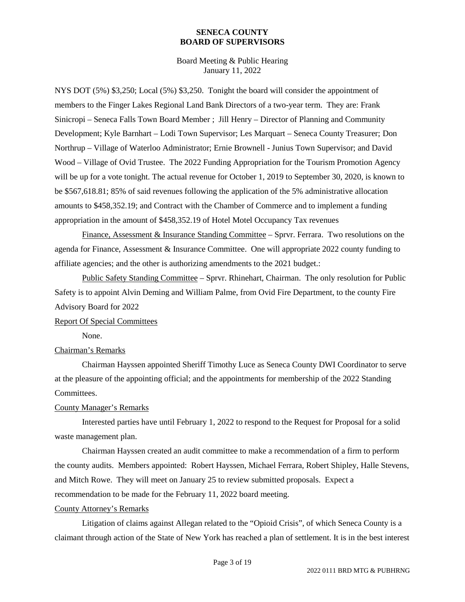Board Meeting & Public Hearing January 11, 2022

NYS DOT (5%) \$3,250; Local (5%) \$3,250. Tonight the board will consider the appointment of members to the Finger Lakes Regional Land Bank Directors of a two-year term. They are: Frank Sinicropi – Seneca Falls Town Board Member ; Jill Henry – Director of Planning and Community Development; Kyle Barnhart – Lodi Town Supervisor; Les Marquart – Seneca County Treasurer; Don Northrup – Village of Waterloo Administrator; Ernie Brownell - Junius Town Supervisor; and David Wood – Village of Ovid Trustee. The 2022 Funding Appropriation for the Tourism Promotion Agency will be up for a vote tonight. The actual revenue for October 1, 2019 to September 30, 2020, is known to be \$567,618.81; 85% of said revenues following the application of the 5% administrative allocation amounts to \$458,352.19; and Contract with the Chamber of Commerce and to implement a funding appropriation in the amount of \$458,352.19 of Hotel Motel Occupancy Tax revenues

Finance, Assessment & Insurance Standing Committee – Sprvr. Ferrara. Two resolutions on the agenda for Finance, Assessment & Insurance Committee. One will appropriate 2022 county funding to affiliate agencies; and the other is authorizing amendments to the 2021 budget.:

Public Safety Standing Committee – Sprvr. Rhinehart, Chairman. The only resolution for Public Safety is to appoint Alvin Deming and William Palme, from Ovid Fire Department, to the county Fire Advisory Board for 2022

#### Report Of Special Committees

None.

#### Chairman's Remarks

Chairman Hayssen appointed Sheriff Timothy Luce as Seneca County DWI Coordinator to serve at the pleasure of the appointing official; and the appointments for membership of the 2022 Standing Committees.

#### County Manager's Remarks

Interested parties have until February 1, 2022 to respond to the Request for Proposal for a solid waste management plan.

Chairman Hayssen created an audit committee to make a recommendation of a firm to perform the county audits. Members appointed: Robert Hayssen, Michael Ferrara, Robert Shipley, Halle Stevens, and Mitch Rowe. They will meet on January 25 to review submitted proposals. Expect a recommendation to be made for the February 11, 2022 board meeting.

#### County Attorney's Remarks

Litigation of claims against Allegan related to the "Opioid Crisis", of which Seneca County is a claimant through action of the State of New York has reached a plan of settlement. It is in the best interest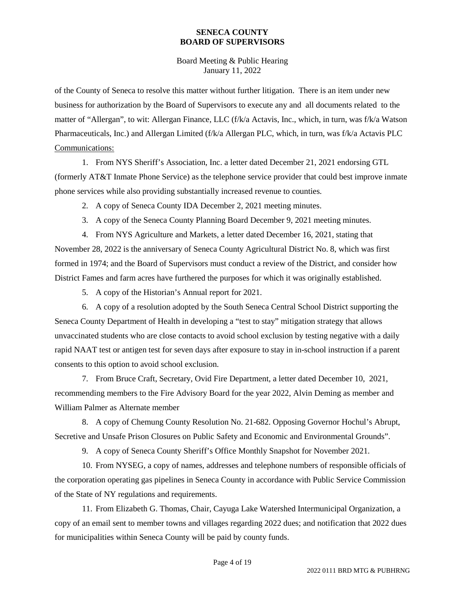Board Meeting & Public Hearing January 11, 2022

of the County of Seneca to resolve this matter without further litigation. There is an item under new business for authorization by the Board of Supervisors to execute any and all documents related to the matter of "Allergan", to wit: Allergan Finance, LLC (f/k/a Actavis, Inc., which, in turn, was f/k/a Watson Pharmaceuticals, Inc.) and Allergan Limited (f/k/a Allergan PLC, which, in turn, was f/k/a Actavis PLC Communications:

1. From NYS Sheriff's Association, Inc. a letter dated December 21, 2021 endorsing GTL (formerly AT&T Inmate Phone Service) as the telephone service provider that could best improve inmate phone services while also providing substantially increased revenue to counties.

2. A copy of Seneca County IDA December 2, 2021 meeting minutes.

3. A copy of the Seneca County Planning Board December 9, 2021 meeting minutes.

4. From NYS Agriculture and Markets, a letter dated December 16, 2021, stating that November 28, 2022 is the anniversary of Seneca County Agricultural District No. 8, which was first formed in 1974; and the Board of Supervisors must conduct a review of the District, and consider how District Fames and farm acres have furthered the purposes for which it was originally established.

5. A copy of the Historian's Annual report for 2021.

6. A copy of a resolution adopted by the South Seneca Central School District supporting the Seneca County Department of Health in developing a "test to stay" mitigation strategy that allows unvaccinated students who are close contacts to avoid school exclusion by testing negative with a daily rapid NAAT test or antigen test for seven days after exposure to stay in in-school instruction if a parent consents to this option to avoid school exclusion.

7. From Bruce Craft, Secretary, Ovid Fire Department, a letter dated December 10, 2021, recommending members to the Fire Advisory Board for the year 2022, Alvin Deming as member and William Palmer as Alternate member

8. A copy of Chemung County Resolution No. 21-682. Opposing Governor Hochul's Abrupt, Secretive and Unsafe Prison Closures on Public Safety and Economic and Environmental Grounds".

9. A copy of Seneca County Sheriff's Office Monthly Snapshot for November 2021.

10. From NYSEG, a copy of names, addresses and telephone numbers of responsible officials of the corporation operating gas pipelines in Seneca County in accordance with Public Service Commission of the State of NY regulations and requirements.

11. From Elizabeth G. Thomas, Chair, Cayuga Lake Watershed Intermunicipal Organization, a copy of an email sent to member towns and villages regarding 2022 dues; and notification that 2022 dues for municipalities within Seneca County will be paid by county funds.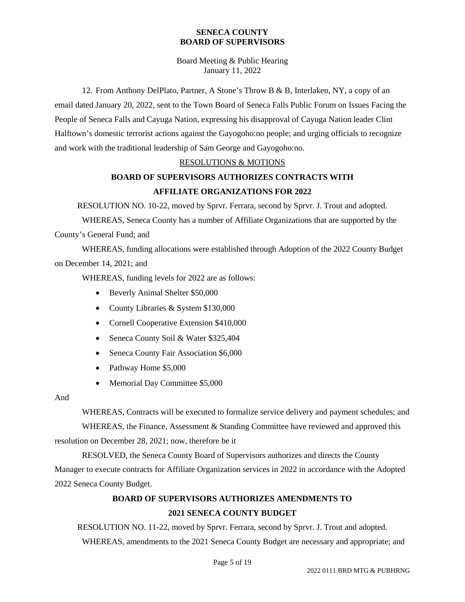Board Meeting & Public Hearing January 11, 2022

12. From Anthony DelPlato, Partner, A Stone's Throw B & B, Interlaken, NY, a copy of an email dated January 20, 2022, sent to the Town Board of Seneca Falls Public Forum on Issues Facing the People of Seneca Falls and Cayuga Nation, expressing his disapproval of Cayuga Nation leader Clint Halftown's domestic terrorist actions against the Gayogoho:no people; and urging officials to recognize and work with the traditional leadership of Sam George and Gayogoho:no.

#### RESOLUTIONS & MOTIONS

## **BOARD OF SUPERVISORS AUTHORIZES CONTRACTS WITH AFFILIATE ORGANIZATIONS FOR 2022**

RESOLUTION NO. 10-22, moved by Sprvr. Ferrara, second by Sprvr. J. Trout and adopted.

WHEREAS, Seneca County has a number of Affiliate Organizations that are supported by the County's General Fund; and

WHEREAS, funding allocations were established through Adoption of the 2022 County Budget on December 14, 2021; and

WHEREAS, funding levels for 2022 are as follows:

- Beverly Animal Shelter \$50,000
- County Libraries & System \$130,000
- Cornell Cooperative Extension \$410,000
- Seneca County Soil & Water \$325,404
- Seneca County Fair Association \$6,000
- Pathway Home \$5,000
- Memorial Day Committee \$5,000

#### And

WHEREAS, Contracts will be executed to formalize service delivery and payment schedules; and

WHEREAS, the Finance, Assessment & Standing Committee have reviewed and approved this resolution on December 28, 2021; now, therefore be it

RESOLVED, the Seneca County Board of Supervisors authorizes and directs the County Manager to execute contracts for Affiliate Organization services in 2022 in accordance with the Adopted 2022 Seneca County Budget.

### **BOARD OF SUPERVISORS AUTHORIZES AMENDMENTS TO**

### **2021 SENECA COUNTY BUDGET**

RESOLUTION NO. 11-22, moved by Sprvr. Ferrara, second by Sprvr. J. Trout and adopted. WHEREAS, amendments to the 2021 Seneca County Budget are necessary and appropriate; and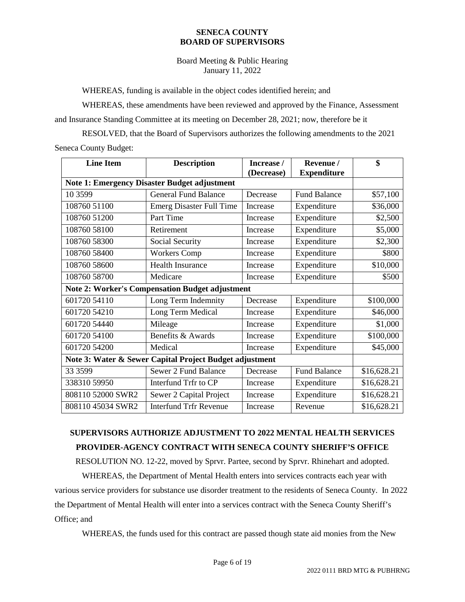Board Meeting & Public Hearing January 11, 2022

WHEREAS, funding is available in the object codes identified herein; and

WHEREAS, these amendments have been reviewed and approved by the Finance, Assessment and Insurance Standing Committee at its meeting on December 28, 2021; now, therefore be it

RESOLVED, that the Board of Supervisors authorizes the following amendments to the 2021 Seneca County Budget:

| <b>Line Item</b>                                        | <b>Description</b>              | Increase / | Revenue /           | \$          |  |  |
|---------------------------------------------------------|---------------------------------|------------|---------------------|-------------|--|--|
|                                                         |                                 | (Decrease) | <b>Expenditure</b>  |             |  |  |
| <b>Note 1: Emergency Disaster Budget adjustment</b>     |                                 |            |                     |             |  |  |
| 10 3599                                                 | <b>General Fund Balance</b>     | Decrease   | <b>Fund Balance</b> | \$57,100    |  |  |
| 108760 51100                                            | <b>Emerg Disaster Full Time</b> | Increase   | Expenditure         | \$36,000    |  |  |
| 108760 51200                                            | Part Time                       | Increase   | Expenditure         | \$2,500     |  |  |
| 108760 58100                                            | Retirement                      | Increase   | Expenditure         | \$5,000     |  |  |
| 108760 58300                                            | Social Security                 | Increase   | Expenditure         | \$2,300     |  |  |
| 108760 58400                                            | <b>Workers Comp</b>             | Increase   | Expenditure         | \$800       |  |  |
| 108760 58600                                            | <b>Health Insurance</b>         | Increase   | Expenditure         | \$10,000    |  |  |
| 108760 58700                                            | Medicare                        | Increase   | Expenditure         | \$500       |  |  |
| <b>Note 2: Worker's Compensation Budget adjustment</b>  |                                 |            |                     |             |  |  |
| 601720 54110                                            | Long Term Indemnity             | Decrease   | Expenditure         | \$100,000   |  |  |
| 601720 54210                                            | Long Term Medical               | Increase   | Expenditure         | \$46,000    |  |  |
| 601720 54440                                            | Mileage                         | Increase   | Expenditure         | \$1,000     |  |  |
| 601720 54100                                            | Benefits & Awards               | Increase   | Expenditure         | \$100,000   |  |  |
| 601720 54200                                            | Medical                         | Increase   | Expenditure         | \$45,000    |  |  |
| Note 3: Water & Sewer Capital Project Budget adjustment |                                 |            |                     |             |  |  |
| 33 3599                                                 | Sewer 2 Fund Balance            | Decrease   | <b>Fund Balance</b> | \$16,628.21 |  |  |
| 338310 59950                                            | Interfund Trfr to CP            | Increase   | Expenditure         | \$16,628.21 |  |  |
| 808110 52000 SWR2                                       | Sewer 2 Capital Project         | Increase   | Expenditure         | \$16,628.21 |  |  |
| 808110 45034 SWR2                                       | <b>Interfund Trfr Revenue</b>   | Increase   | Revenue             | \$16,628.21 |  |  |

# **SUPERVISORS AUTHORIZE ADJUSTMENT TO 2022 MENTAL HEALTH SERVICES PROVIDER-AGENCY CONTRACT WITH SENECA COUNTY SHERIFF'S OFFICE**

RESOLUTION NO. 12-22, moved by Sprvr. Partee, second by Sprvr. Rhinehart and adopted.

WHEREAS, the Department of Mental Health enters into services contracts each year with various service providers for substance use disorder treatment to the residents of Seneca County. In 2022 the Department of Mental Health will enter into a services contract with the Seneca County Sheriff's Office; and

WHEREAS, the funds used for this contract are passed though state aid monies from the New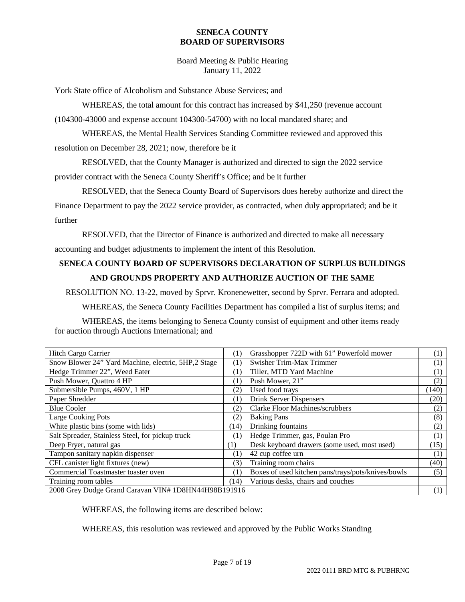Board Meeting & Public Hearing January 11, 2022

York State office of Alcoholism and Substance Abuse Services; and

WHEREAS, the total amount for this contract has increased by \$41,250 (revenue account (104300-43000 and expense account 104300-54700) with no local mandated share; and

WHEREAS, the Mental Health Services Standing Committee reviewed and approved this resolution on December 28, 2021; now, therefore be it

RESOLVED, that the County Manager is authorized and directed to sign the 2022 service provider contract with the Seneca County Sheriff's Office; and be it further

RESOLVED, that the Seneca County Board of Supervisors does hereby authorize and direct the Finance Department to pay the 2022 service provider, as contracted, when duly appropriated; and be it further

RESOLVED, that the Director of Finance is authorized and directed to make all necessary accounting and budget adjustments to implement the intent of this Resolution.

## **SENECA COUNTY BOARD OF SUPERVISORS DECLARATION OF SURPLUS BUILDINGS AND GROUNDS PROPERTY AND AUTHORIZE AUCTION OF THE SAME**

RESOLUTION NO. 13-22, moved by Sprvr. Kronenewetter, second by Sprvr. Ferrara and adopted.

WHEREAS, the Seneca County Facilities Department has compiled a list of surplus items; and

WHEREAS, the items belonging to Seneca County consist of equipment and other items ready for auction through Auctions International; and

| Hitch Cargo Carrier                                  |      | Grasshopper 722D with 61" Powerfold mower          | (1)              |
|------------------------------------------------------|------|----------------------------------------------------|------------------|
| Snow Blower 24" Yard Machine, electric, 5HP,2 Stage  |      | Swisher Trim-Max Trimmer                           | (1)              |
| Hedge Trimmer 22", Weed Eater                        |      | Tiller, MTD Yard Machine                           | (1)              |
| Push Mower, Quattro 4 HP                             |      | Push Mower, 21"                                    | (2)              |
| Submersible Pumps, 460V, 1 HP                        |      | Used food trays                                    | (140)            |
| Paper Shredder                                       |      | <b>Drink Server Dispensers</b>                     | (20)             |
| <b>Blue Cooler</b>                                   | (2)  | <b>Clarke Floor Machines/scrubbers</b>             | (2)              |
| <b>Large Cooking Pots</b><br>(2)                     |      | <b>Baking Pans</b>                                 | (8)              |
| White plastic bins (some with lids)                  |      | Drinking fountains                                 | (2)              |
| Salt Spreader, Stainless Steel, for pickup truck     |      | Hedge Trimmer, gas, Poulan Pro                     | $\left(1\right)$ |
| Deep Fryer, natural gas                              |      | Desk keyboard drawers (some used, most used)       | (15)             |
| Tampon sanitary napkin dispenser                     |      | 42 cup coffee urn                                  | (1)              |
| CFL canister light fixtures (new)                    |      | Training room chairs                               | (40)             |
| Commercial Toastmaster toaster oven                  |      | Boxes of used kitchen pans/trays/pots/knives/bowls | (5)              |
| Training room tables                                 | (14) | Various desks, chairs and couches                  |                  |
| 2008 Grey Dodge Grand Caravan VIN# 1D8HN44H98B191916 |      |                                                    |                  |

WHEREAS, the following items are described below:

WHEREAS, this resolution was reviewed and approved by the Public Works Standing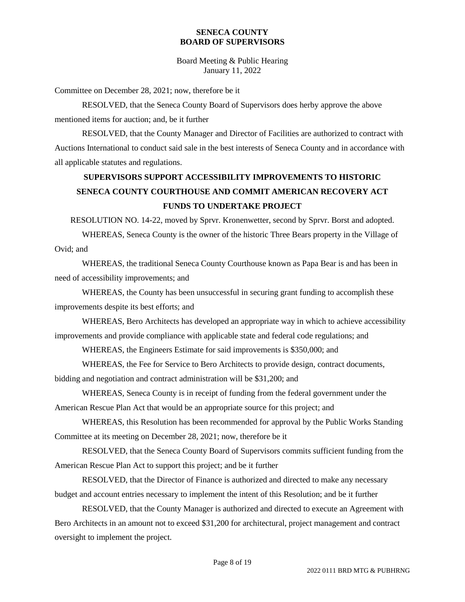Board Meeting & Public Hearing January 11, 2022

Committee on December 28, 2021; now, therefore be it

RESOLVED, that the Seneca County Board of Supervisors does herby approve the above mentioned items for auction; and, be it further

RESOLVED, that the County Manager and Director of Facilities are authorized to contract with Auctions International to conduct said sale in the best interests of Seneca County and in accordance with all applicable statutes and regulations.

# **SUPERVISORS SUPPORT ACCESSIBILITY IMPROVEMENTS TO HISTORIC SENECA COUNTY COURTHOUSE AND COMMIT AMERICAN RECOVERY ACT FUNDS TO UNDERTAKE PROJECT**

RESOLUTION NO. 14-22, moved by Sprvr. Kronenwetter, second by Sprvr. Borst and adopted.

WHEREAS, Seneca County is the owner of the historic Three Bears property in the Village of Ovid; and

WHEREAS, the traditional Seneca County Courthouse known as Papa Bear is and has been in need of accessibility improvements; and

WHEREAS, the County has been unsuccessful in securing grant funding to accomplish these improvements despite its best efforts; and

WHEREAS, Bero Architects has developed an appropriate way in which to achieve accessibility improvements and provide compliance with applicable state and federal code regulations; and

WHEREAS, the Engineers Estimate for said improvements is \$350,000; and

WHEREAS, the Fee for Service to Bero Architects to provide design, contract documents, bidding and negotiation and contract administration will be \$31,200; and

WHEREAS, Seneca County is in receipt of funding from the federal government under the American Rescue Plan Act that would be an appropriate source for this project; and

WHEREAS, this Resolution has been recommended for approval by the Public Works Standing Committee at its meeting on December 28, 2021; now, therefore be it

RESOLVED, that the Seneca County Board of Supervisors commits sufficient funding from the American Rescue Plan Act to support this project; and be it further

RESOLVED, that the Director of Finance is authorized and directed to make any necessary budget and account entries necessary to implement the intent of this Resolution; and be it further

RESOLVED, that the County Manager is authorized and directed to execute an Agreement with Bero Architects in an amount not to exceed \$31,200 for architectural, project management and contract oversight to implement the project.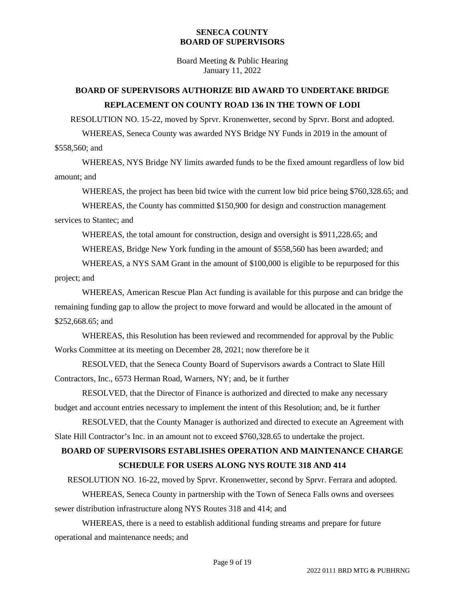Board Meeting & Public Hearing January 11, 2022

## **BOARD OF SUPERVISORS AUTHORIZE BID AWARD TO UNDERTAKE BRIDGE REPLACEMENT ON COUNTY ROAD 136 IN THE TOWN OF LODI**

RESOLUTION NO. 15-22, moved by Sprvr. Kronenwetter, second by Sprvr. Borst and adopted.

WHEREAS, Seneca County was awarded NYS Bridge NY Funds in 2019 in the amount of \$558,560; and

WHEREAS, NYS Bridge NY limits awarded funds to be the fixed amount regardless of low bid amount; and

WHEREAS, the project has been bid twice with the current low bid price being \$760,328.65; and

WHEREAS, the County has committed \$150,900 for design and construction management services to Stantec; and

WHEREAS, the total amount for construction, design and oversight is \$911,228.65; and

WHEREAS, Bridge New York funding in the amount of \$558,560 has been awarded; and

WHEREAS, a NYS SAM Grant in the amount of \$100,000 is eligible to be repurposed for this project; and

WHEREAS, American Rescue Plan Act funding is available for this purpose and can bridge the remaining funding gap to allow the project to move forward and would be allocated in the amount of \$252,668.65; and

WHEREAS, this Resolution has been reviewed and recommended for approval by the Public Works Committee at its meeting on December 28, 2021; now therefore be it

RESOLVED, that the Seneca County Board of Supervisors awards a Contract to Slate Hill Contractors, Inc., 6573 Herman Road, Warners, NY; and, be it further

RESOLVED, that the Director of Finance is authorized and directed to make any necessary budget and account entries necessary to implement the intent of this Resolution; and, be it further

RESOLVED, that the County Manager is authorized and directed to execute an Agreement with Slate Hill Contractor's Inc. in an amount not to exceed \$760,328.65 to undertake the project.

## **BOARD OF SUPERVISORS ESTABLISHES OPERATION AND MAINTENANCE CHARGE SCHEDULE FOR USERS ALONG NYS ROUTE 318 AND 414**

RESOLUTION NO. 16-22, moved by Sprvr. Kronenwetter, second by Sprvr. Ferrara and adopted.

WHEREAS, Seneca County in partnership with the Town of Seneca Falls owns and oversees sewer distribution infrastructure along NYS Routes 318 and 414; and

WHEREAS, there is a need to establish additional funding streams and prepare for future operational and maintenance needs; and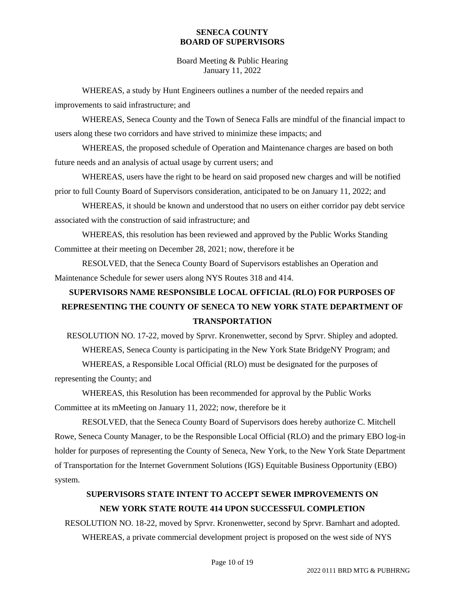Board Meeting & Public Hearing January 11, 2022

WHEREAS, a study by Hunt Engineers outlines a number of the needed repairs and improvements to said infrastructure; and

WHEREAS, Seneca County and the Town of Seneca Falls are mindful of the financial impact to users along these two corridors and have strived to minimize these impacts; and

WHEREAS, the proposed schedule of Operation and Maintenance charges are based on both future needs and an analysis of actual usage by current users; and

WHEREAS, users have the right to be heard on said proposed new charges and will be notified prior to full County Board of Supervisors consideration, anticipated to be on January 11, 2022; and

WHEREAS, it should be known and understood that no users on either corridor pay debt service associated with the construction of said infrastructure; and

WHEREAS, this resolution has been reviewed and approved by the Public Works Standing Committee at their meeting on December 28, 2021; now, therefore it be

RESOLVED, that the Seneca County Board of Supervisors establishes an Operation and Maintenance Schedule for sewer users along NYS Routes 318 and 414.

# **SUPERVISORS NAME RESPONSIBLE LOCAL OFFICIAL (RLO) FOR PURPOSES OF REPRESENTING THE COUNTY OF SENECA TO NEW YORK STATE DEPARTMENT OF TRANSPORTATION**

RESOLUTION NO. 17-22, moved by Sprvr. Kronenwetter, second by Sprvr. Shipley and adopted. WHEREAS, Seneca County is participating in the New York State BridgeNY Program; and WHEREAS, a Responsible Local Official (RLO) must be designated for the purposes of representing the County; and

WHEREAS, this Resolution has been recommended for approval by the Public Works Committee at its mMeeting on January 11, 2022; now, therefore be it

RESOLVED, that the Seneca County Board of Supervisors does hereby authorize C. Mitchell Rowe, Seneca County Manager, to be the Responsible Local Official (RLO) and the primary EBO log-in holder for purposes of representing the County of Seneca, New York, to the New York State Department of Transportation for the Internet Government Solutions (IGS) Equitable Business Opportunity (EBO) system.

## **SUPERVISORS STATE INTENT TO ACCEPT SEWER IMPROVEMENTS ON NEW YORK STATE ROUTE 414 UPON SUCCESSFUL COMPLETION**

RESOLUTION NO. 18-22, moved by Sprvr. Kronenwetter, second by Sprvr. Barnhart and adopted. WHEREAS, a private commercial development project is proposed on the west side of NYS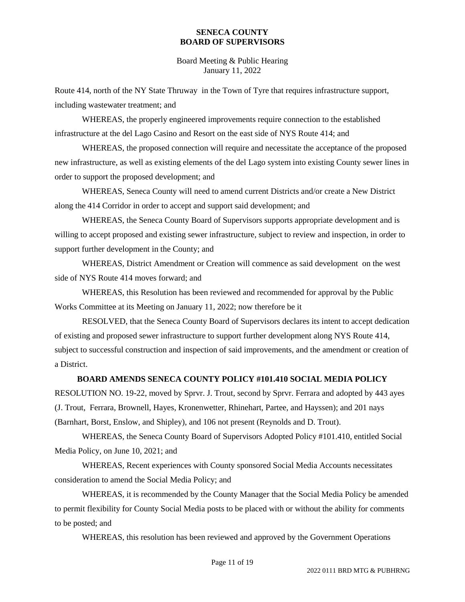Board Meeting & Public Hearing January 11, 2022

Route 414, north of the NY State Thruway in the Town of Tyre that requires infrastructure support, including wastewater treatment; and

WHEREAS, the properly engineered improvements require connection to the established infrastructure at the del Lago Casino and Resort on the east side of NYS Route 414; and

WHEREAS, the proposed connection will require and necessitate the acceptance of the proposed new infrastructure, as well as existing elements of the del Lago system into existing County sewer lines in order to support the proposed development; and

WHEREAS, Seneca County will need to amend current Districts and/or create a New District along the 414 Corridor in order to accept and support said development; and

WHEREAS, the Seneca County Board of Supervisors supports appropriate development and is willing to accept proposed and existing sewer infrastructure, subject to review and inspection, in order to support further development in the County; and

WHEREAS, District Amendment or Creation will commence as said development on the west side of NYS Route 414 moves forward; and

WHEREAS, this Resolution has been reviewed and recommended for approval by the Public Works Committee at its Meeting on January 11, 2022; now therefore be it

RESOLVED, that the Seneca County Board of Supervisors declares its intent to accept dedication of existing and proposed sewer infrastructure to support further development along NYS Route 414, subject to successful construction and inspection of said improvements, and the amendment or creation of a District.

### **BOARD AMENDS SENECA COUNTY POLICY #101.410 SOCIAL MEDIA POLICY**

RESOLUTION NO. 19-22, moved by Sprvr. J. Trout, second by Sprvr. Ferrara and adopted by 443 ayes (J. Trout, Ferrara, Brownell, Hayes, Kronenwetter, Rhinehart, Partee, and Hayssen); and 201 nays (Barnhart, Borst, Enslow, and Shipley), and 106 not present (Reynolds and D. Trout).

WHEREAS, the Seneca County Board of Supervisors Adopted Policy #101.410, entitled Social Media Policy, on June 10, 2021; and

WHEREAS, Recent experiences with County sponsored Social Media Accounts necessitates consideration to amend the Social Media Policy; and

WHEREAS, it is recommended by the County Manager that the Social Media Policy be amended to permit flexibility for County Social Media posts to be placed with or without the ability for comments to be posted; and

WHEREAS, this resolution has been reviewed and approved by the Government Operations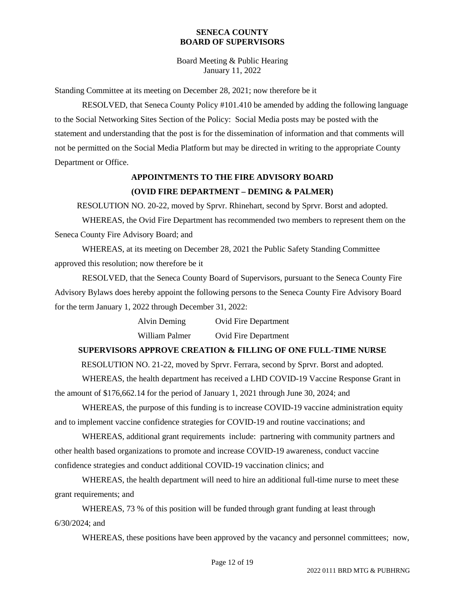Board Meeting & Public Hearing January 11, 2022

Standing Committee at its meeting on December 28, 2021; now therefore be it

RESOLVED, that Seneca County Policy #101.410 be amended by adding the following language to the Social Networking Sites Section of the Policy: Social Media posts may be posted with the statement and understanding that the post is for the dissemination of information and that comments will not be permitted on the Social Media Platform but may be directed in writing to the appropriate County Department or Office.

## **APPOINTMENTS TO THE FIRE ADVISORY BOARD (OVID FIRE DEPARTMENT – DEMING & PALMER)**

RESOLUTION NO. 20-22, moved by Sprvr. Rhinehart, second by Sprvr. Borst and adopted.

WHEREAS, the Ovid Fire Department has recommended two members to represent them on the Seneca County Fire Advisory Board; and

WHEREAS, at its meeting on December 28, 2021 the Public Safety Standing Committee approved this resolution; now therefore be it

RESOLVED, that the Seneca County Board of Supervisors, pursuant to the Seneca County Fire Advisory Bylaws does hereby appoint the following persons to the Seneca County Fire Advisory Board for the term January 1, 2022 through December 31, 2022:

> Alvin Deming Ovid Fire Department William Palmer Ovid Fire Department

#### **SUPERVISORS APPROVE CREATION & FILLING OF ONE FULL-TIME NURSE**

RESOLUTION NO. 21-22, moved by Sprvr. Ferrara, second by Sprvr. Borst and adopted.

WHEREAS, the health department has received a LHD COVID-19 Vaccine Response Grant in the amount of \$176,662.14 for the period of January 1, 2021 through June 30, 2024; and

WHEREAS, the purpose of this funding is to increase COVID-19 vaccine administration equity and to implement vaccine confidence strategies for COVID-19 and routine vaccinations; and

WHEREAS, additional grant requirements include: partnering with community partners and other health based organizations to promote and increase COVID-19 awareness, conduct vaccine confidence strategies and conduct additional COVID-19 vaccination clinics; and

WHEREAS, the health department will need to hire an additional full-time nurse to meet these grant requirements; and

WHEREAS, 73 % of this position will be funded through grant funding at least through 6/30/2024; and

WHEREAS, these positions have been approved by the vacancy and personnel committees; now,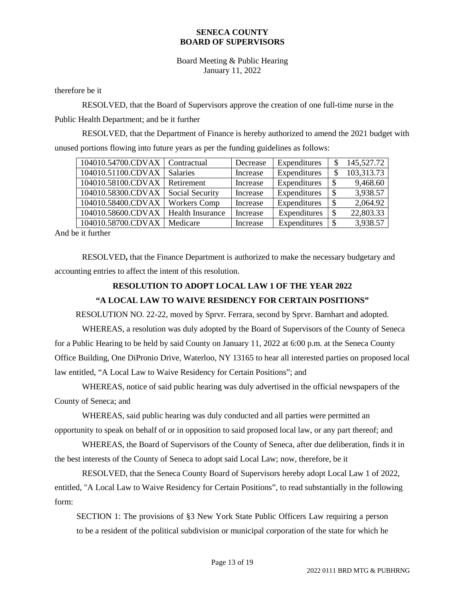Board Meeting & Public Hearing January 11, 2022

therefore be it

RESOLVED, that the Board of Supervisors approve the creation of one full-time nurse in the Public Health Department; and be it further

RESOLVED, that the Department of Finance is hereby authorized to amend the 2021 budget with unused portions flowing into future years as per the funding guidelines as follows:

| 104010.54700.CDVAX   Contractual |                         | Decrease | Expenditures | S | 145,527.72 |
|----------------------------------|-------------------------|----------|--------------|---|------------|
| 104010.51100.CDVAX               | <b>Salaries</b>         | Increase | Expenditures |   | 103,313.73 |
| 104010.58100.CDVAX               | Retirement              | Increase | Expenditures |   | 9,468.60   |
| 104010.58300.CDVAX               | Social Security         | Increase | Expenditures |   | 3,938.57   |
| 104010.58400.CDVAX               | <b>Workers Comp</b>     | Increase | Expenditures |   | 2,064.92   |
| 104010.58600.CDVAX               | <b>Health Insurance</b> | Increase | Expenditures | S | 22,803.33  |
| 104010.58700.CDVAX               | Medicare                | Increase | Expenditures |   | 3,938.57   |

And be it further

RESOLVED**,** that the Finance Department is authorized to make the necessary budgetary and accounting entries to affect the intent of this resolution.

### **RESOLUTION TO ADOPT LOCAL LAW 1 OF THE YEAR 2022**

### **"A LOCAL LAW TO WAIVE RESIDENCY FOR CERTAIN POSITIONS"**

RESOLUTION NO. 22-22, moved by Sprvr. Ferrara, second by Sprvr. Barnhart and adopted.

WHEREAS, a resolution was duly adopted by the Board of Supervisors of the County of Seneca for a Public Hearing to be held by said County on January 11, 2022 at 6:00 p.m. at the Seneca County Office Building, One DiPronio Drive, Waterloo, NY 13165 to hear all interested parties on proposed local law entitled, "A Local Law to Waive Residency for Certain Positions"; and

WHEREAS, notice of said public hearing was duly advertised in the official newspapers of the County of Seneca; and

WHEREAS, said public hearing was duly conducted and all parties were permitted an opportunity to speak on behalf of or in opposition to said proposed local law, or any part thereof; and

WHEREAS, the Board of Supervisors of the County of Seneca, after due deliberation, finds it in the best interests of the County of Seneca to adopt said Local Law; now, therefore, be it

RESOLVED, that the Seneca County Board of Supervisors hereby adopt Local Law 1 of 2022, entitled, "A Local Law to Waive Residency for Certain Positions", to read substantially in the following form:

SECTION 1: The provisions of §3 New York State Public Officers Law requiring a person to be a resident of the political subdivision or municipal corporation of the state for which he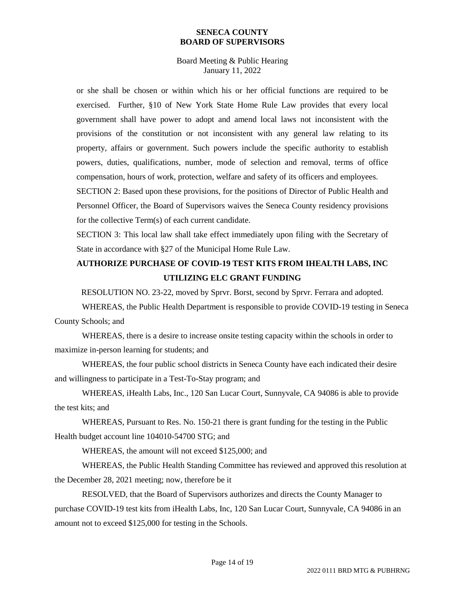Board Meeting & Public Hearing January 11, 2022

or she shall be chosen or within which his or her official functions are required to be exercised. Further, §10 of New York State Home Rule Law provides that every local government shall have power to adopt and amend local laws not inconsistent with the provisions of the constitution or not inconsistent with any general law relating to its property, affairs or government. Such powers include the specific authority to establish powers, duties, qualifications, number, mode of selection and removal, terms of office compensation, hours of work, protection, welfare and safety of its officers and employees.

SECTION 2: Based upon these provisions, for the positions of Director of Public Health and Personnel Officer, the Board of Supervisors waives the Seneca County residency provisions for the collective Term(s) of each current candidate.

SECTION 3: This local law shall take effect immediately upon filing with the Secretary of State in accordance with §27 of the Municipal Home Rule Law.

## **AUTHORIZE PURCHASE OF COVID-19 TEST KITS FROM IHEALTH LABS, INC UTILIZING ELC GRANT FUNDING**

RESOLUTION NO. 23-22, moved by Sprvr. Borst, second by Sprvr. Ferrara and adopted.

WHEREAS, the Public Health Department is responsible to provide COVID-19 testing in Seneca County Schools; and

WHEREAS, there is a desire to increase onsite testing capacity within the schools in order to maximize in-person learning for students; and

WHEREAS, the four public school districts in Seneca County have each indicated their desire and willingness to participate in a Test-To-Stay program; and

WHEREAS, iHealth Labs, Inc., 120 San Lucar Court, Sunnyvale, CA 94086 is able to provide the test kits; and

WHEREAS, Pursuant to Res. No. 150-21 there is grant funding for the testing in the Public Health budget account line 104010-54700 STG; and

WHEREAS, the amount will not exceed \$125,000; and

WHEREAS, the Public Health Standing Committee has reviewed and approved this resolution at the December 28, 2021 meeting; now, therefore be it

RESOLVED, that the Board of Supervisors authorizes and directs the County Manager to purchase COVID-19 test kits from iHealth Labs, Inc, 120 San Lucar Court, Sunnyvale, CA 94086 in an amount not to exceed \$125,000 for testing in the Schools.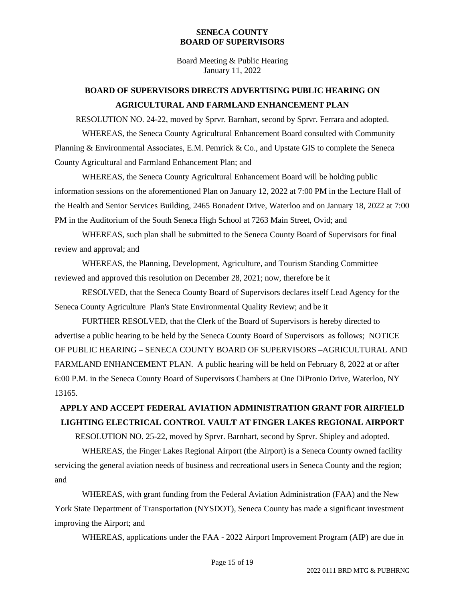Board Meeting & Public Hearing January 11, 2022

## **BOARD OF SUPERVISORS DIRECTS ADVERTISING PUBLIC HEARING ON AGRICULTURAL AND FARMLAND ENHANCEMENT PLAN**

RESOLUTION NO. 24-22, moved by Sprvr. Barnhart, second by Sprvr. Ferrara and adopted. WHEREAS, the Seneca County Agricultural Enhancement Board consulted with Community Planning & Environmental Associates, E.M. Pemrick & Co., and Upstate GIS to complete the Seneca County Agricultural and Farmland Enhancement Plan; and

WHEREAS, the Seneca County Agricultural Enhancement Board will be holding public information sessions on the aforementioned Plan on January 12, 2022 at 7:00 PM in the Lecture Hall of the Health and Senior Services Building, 2465 Bonadent Drive, Waterloo and on January 18, 2022 at 7:00 PM in the Auditorium of the South Seneca High School at 7263 Main Street, Ovid; and

WHEREAS, such plan shall be submitted to the Seneca County Board of Supervisors for final review and approval; and

WHEREAS, the Planning, Development, Agriculture, and Tourism Standing Committee reviewed and approved this resolution on December 28, 2021; now, therefore be it

RESOLVED, that the Seneca County Board of Supervisors declares itself Lead Agency for the Seneca County Agriculture Plan's State Environmental Quality Review; and be it

FURTHER RESOLVED, that the Clerk of the Board of Supervisors is hereby directed to advertise a public hearing to be held by the Seneca County Board of Supervisors as follows; NOTICE OF PUBLIC HEARING – SENECA COUNTY BOARD OF SUPERVISORS –AGRICULTURAL AND FARMLAND ENHANCEMENT PLAN. A public hearing will be held on February 8, 2022 at or after 6:00 P.M. in the Seneca County Board of Supervisors Chambers at One DiPronio Drive, Waterloo, NY 13165.

# **APPLY AND ACCEPT FEDERAL AVIATION ADMINISTRATION GRANT FOR AIRFIELD LIGHTING ELECTRICAL CONTROL VAULT AT FINGER LAKES REGIONAL AIRPORT**

RESOLUTION NO. 25-22, moved by Sprvr. Barnhart, second by Sprvr. Shipley and adopted.

WHEREAS, the Finger Lakes Regional Airport (the Airport) is a Seneca County owned facility servicing the general aviation needs of business and recreational users in Seneca County and the region; and

WHEREAS, with grant funding from the Federal Aviation Administration (FAA) and the New York State Department of Transportation (NYSDOT), Seneca County has made a significant investment improving the Airport; and

WHEREAS, applications under the FAA - 2022 Airport Improvement Program (AIP) are due in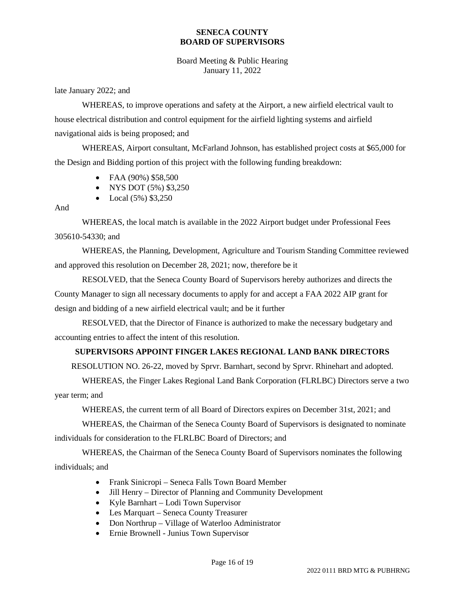Board Meeting & Public Hearing January 11, 2022

late January 2022; and

WHEREAS, to improve operations and safety at the Airport, a new airfield electrical vault to house electrical distribution and control equipment for the airfield lighting systems and airfield navigational aids is being proposed; and

WHEREAS, Airport consultant, McFarland Johnson, has established project costs at \$65,000 for the Design and Bidding portion of this project with the following funding breakdown:

- FAA (90%) \$58,500
- NYS DOT (5%) \$3,250
- Local  $(5\%)$  \$3,250

#### And

WHEREAS, the local match is available in the 2022 Airport budget under Professional Fees 305610-54330; and

WHEREAS, the Planning, Development, Agriculture and Tourism Standing Committee reviewed and approved this resolution on December 28, 2021; now, therefore be it

RESOLVED, that the Seneca County Board of Supervisors hereby authorizes and directs the County Manager to sign all necessary documents to apply for and accept a FAA 2022 AIP grant for design and bidding of a new airfield electrical vault; and be it further

RESOLVED, that the Director of Finance is authorized to make the necessary budgetary and accounting entries to affect the intent of this resolution.

### **SUPERVISORS APPOINT FINGER LAKES REGIONAL LAND BANK DIRECTORS**

RESOLUTION NO. 26-22, moved by Sprvr. Barnhart, second by Sprvr. Rhinehart and adopted.

WHEREAS, the Finger Lakes Regional Land Bank Corporation (FLRLBC) Directors serve a two year term; and

WHEREAS, the current term of all Board of Directors expires on December 31st, 2021; and

WHEREAS, the Chairman of the Seneca County Board of Supervisors is designated to nominate individuals for consideration to the FLRLBC Board of Directors; and

WHEREAS, the Chairman of the Seneca County Board of Supervisors nominates the following individuals; and

- Frank Sinicropi Seneca Falls Town Board Member
- Jill Henry Director of Planning and Community Development
- Kyle Barnhart Lodi Town Supervisor
- Les Marquart Seneca County Treasurer
- Don Northrup Village of Waterloo Administrator
- Ernie Brownell Junius Town Supervisor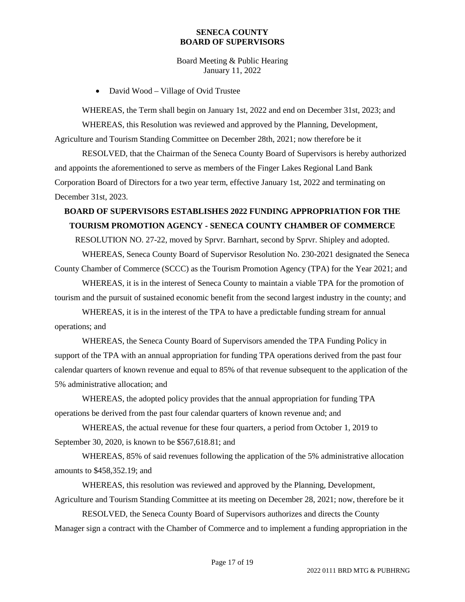Board Meeting & Public Hearing January 11, 2022

• David Wood – Village of Ovid Trustee

WHEREAS, the Term shall begin on January 1st, 2022 and end on December 31st, 2023; and WHEREAS, this Resolution was reviewed and approved by the Planning, Development, Agriculture and Tourism Standing Committee on December 28th, 2021; now therefore be it

RESOLVED, that the Chairman of the Seneca County Board of Supervisors is hereby authorized and appoints the aforementioned to serve as members of the Finger Lakes Regional Land Bank Corporation Board of Directors for a two year term, effective January 1st, 2022 and terminating on December 31st, 2023.

## **BOARD OF SUPERVISORS ESTABLISHES 2022 FUNDING APPROPRIATION FOR THE TOURISM PROMOTION AGENCY - SENECA COUNTY CHAMBER OF COMMERCE**

RESOLUTION NO. 27-22, moved by Sprvr. Barnhart, second by Sprvr. Shipley and adopted. WHEREAS, Seneca County Board of Supervisor Resolution No. 230-2021 designated the Seneca

County Chamber of Commerce (SCCC) as the Tourism Promotion Agency (TPA) for the Year 2021; and

WHEREAS, it is in the interest of Seneca County to maintain a viable TPA for the promotion of tourism and the pursuit of sustained economic benefit from the second largest industry in the county; and

WHEREAS, it is in the interest of the TPA to have a predictable funding stream for annual operations; and

WHEREAS, the Seneca County Board of Supervisors amended the TPA Funding Policy in support of the TPA with an annual appropriation for funding TPA operations derived from the past four calendar quarters of known revenue and equal to 85% of that revenue subsequent to the application of the 5% administrative allocation; and

WHEREAS, the adopted policy provides that the annual appropriation for funding TPA operations be derived from the past four calendar quarters of known revenue and; and

WHEREAS, the actual revenue for these four quarters, a period from October 1, 2019 to September 30, 2020, is known to be \$567,618.81; and

WHEREAS, 85% of said revenues following the application of the 5% administrative allocation amounts to \$458,352.19; and

WHEREAS, this resolution was reviewed and approved by the Planning, Development, Agriculture and Tourism Standing Committee at its meeting on December 28, 2021; now, therefore be it

RESOLVED, the Seneca County Board of Supervisors authorizes and directs the County Manager sign a contract with the Chamber of Commerce and to implement a funding appropriation in the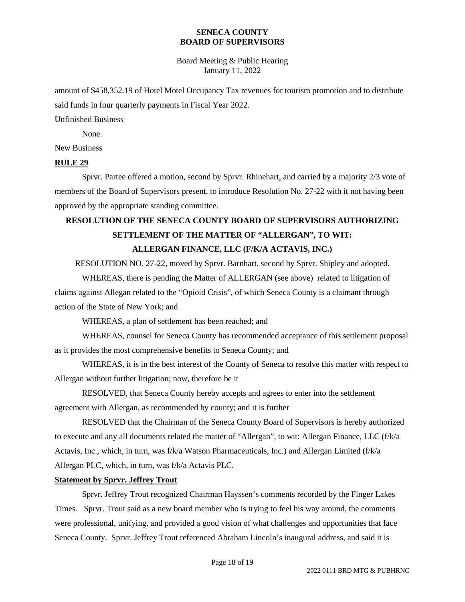Board Meeting & Public Hearing January 11, 2022

amount of \$458,352.19 of Hotel Motel Occupancy Tax revenues for tourism promotion and to distribute said funds in four quarterly payments in Fiscal Year 2022.

#### Unfinished Business

None.

#### New Business

#### **RULE 29**

Sprvr. Partee offered a motion, second by Sprvr. Rhinehart, and carried by a majority 2/3 vote of members of the Board of Supervisors present, to introduce Resolution No. 27-22 with it not having been approved by the appropriate standing committee.

# **RESOLUTION OF THE SENECA COUNTY BOARD OF SUPERVISORS AUTHORIZING SETTLEMENT OF THE MATTER OF "ALLERGAN", TO WIT: ALLERGAN FINANCE, LLC (F/K/A ACTAVIS, INC.)**

RESOLUTION NO. 27-22, moved by Sprvr. Barnhart, second by Sprvr. Shipley and adopted.

WHEREAS, there is pending the Matter of ALLERGAN (see above) related to litigation of claims against Allegan related to the "Opioid Crisis", of which Seneca County is a claimant through action of the State of New York; and

WHEREAS, a plan of settlement has been reached; and

WHEREAS, counsel for Seneca County has recommended acceptance of this settlement proposal as it provides the most comprehensive benefits to Seneca County; and

WHEREAS, it is in the best interest of the County of Seneca to resolve this matter with respect to Allergan without further litigation; now, therefore be it

RESOLVED, that Seneca County hereby accepts and agrees to enter into the settlement agreement with Allergan, as recommended by county; and it is further

RESOLVED that the Chairman of the Seneca County Board of Supervisors is hereby authorized to execute and any all documents related the matter of "Allergan", to wit: Allergan Finance, LLC (f/k/a Actavis, Inc., which, in turn, was f/k/a Watson Pharmaceuticals, Inc.) and Allergan Limited (f/k/a Allergan PLC, which, in turn, was f/k/a Actavis PLC.

#### **Statement by Sprvr. Jeffrey Trout**

Sprvr. Jeffrey Trout recognized Chairman Hayssen's comments recorded by the Finger Lakes Times. Sprvr. Trout said as a new board member who is trying to feel his way around, the comments were professional, unifying, and provided a good vision of what challenges and opportunities that face Seneca County. Sprvr. Jeffrey Trout referenced Abraham Lincoln's inaugural address, and said it is